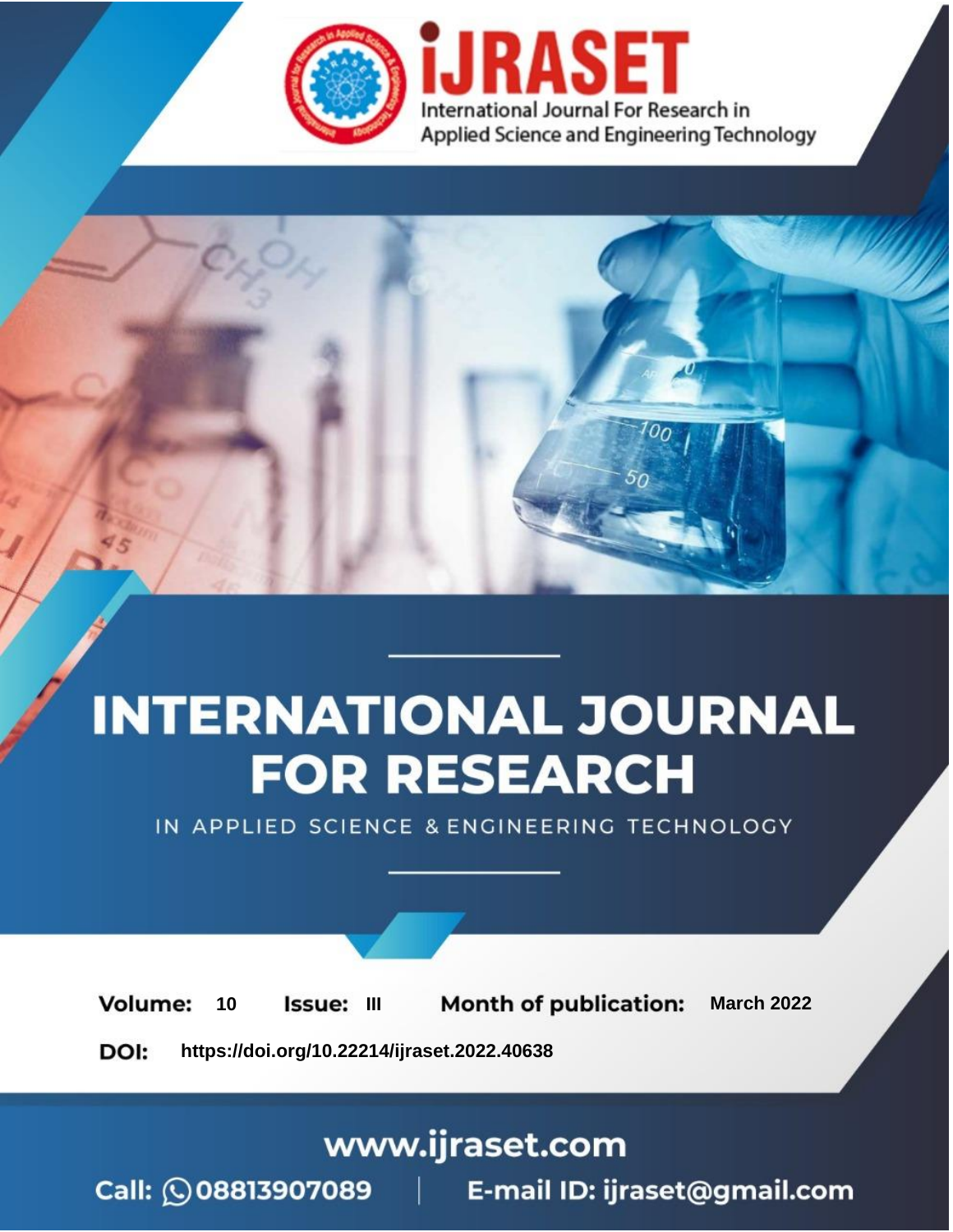

# **INTERNATIONAL JOURNAL FOR RESEARCH**

IN APPLIED SCIENCE & ENGINEERING TECHNOLOGY

10 **Issue: III Month of publication:** March 2022 **Volume:** 

**https://doi.org/10.22214/ijraset.2022.40638**DOI:

www.ijraset.com

Call: 008813907089 | E-mail ID: ijraset@gmail.com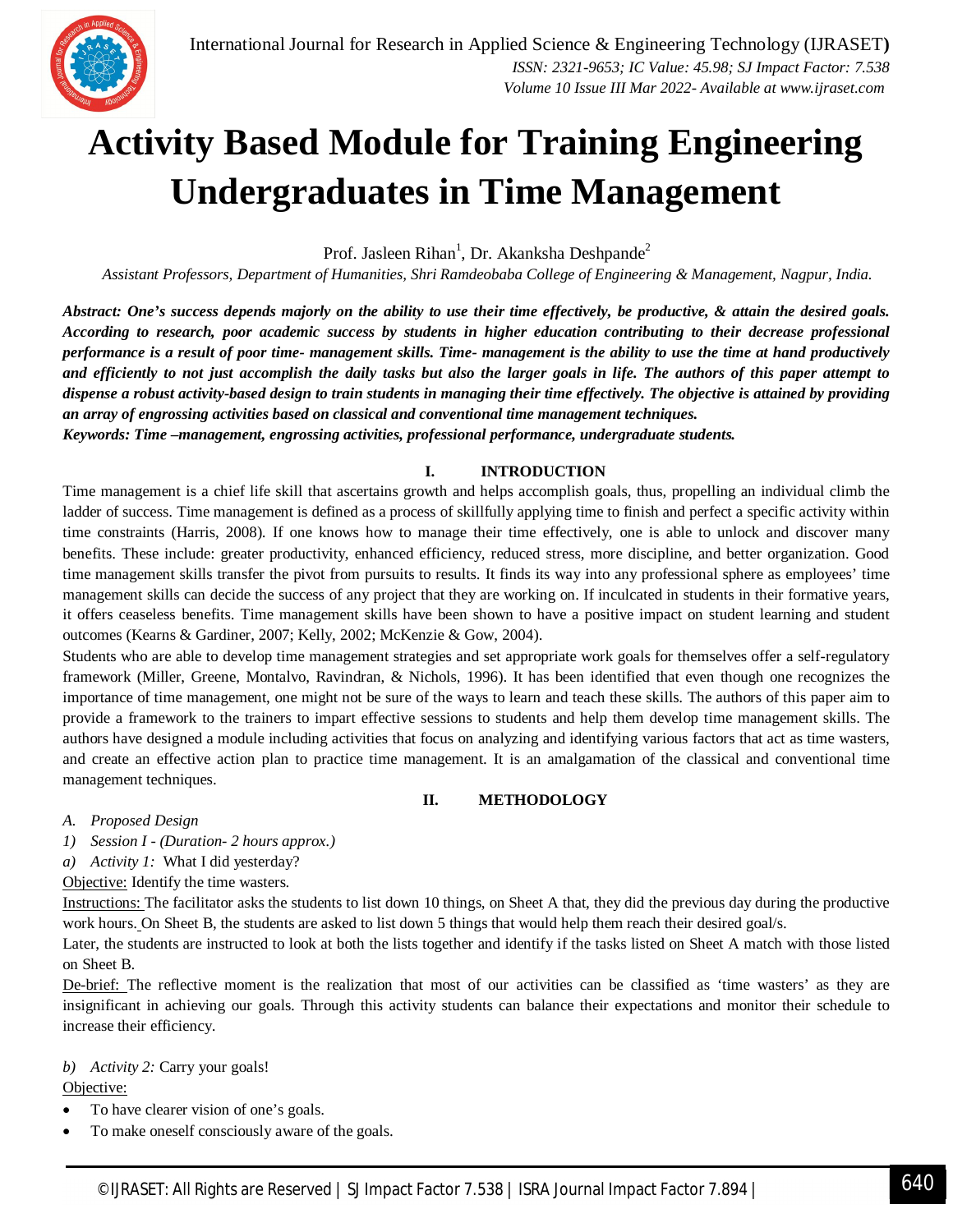

### **Activity Based Module for Training Engineering Undergraduates in Time Management**

Prof. Jasleen Rihan<sup>1</sup>, Dr. Akanksha Deshpande<sup>2</sup>

*Assistant Professors, Department of Humanities, Shri Ramdeobaba College of Engineering & Management, Nagpur, India.*

*Abstract: One's success depends majorly on the ability to use their time effectively, be productive, & attain the desired goals. According to research, poor academic success by students in higher education contributing to their decrease professional performance is a result of poor time- management skills. Time- management is the ability to use the time at hand productively and efficiently to not just accomplish the daily tasks but also the larger goals in life. The authors of this paper attempt to dispense a robust activity-based design to train students in managing their time effectively. The objective is attained by providing an array of engrossing activities based on classical and conventional time management techniques.*

*Keywords: Time –management, engrossing activities, professional performance, undergraduate students.*

#### **I. INTRODUCTION**

Time management is a chief life skill that ascertains growth and helps accomplish goals, thus, propelling an individual climb the ladder of success. Time management is defined as a process of skillfully applying time to finish and perfect a specific activity within time constraints (Harris, 2008). If one knows how to manage their time effectively, one is able to unlock and discover many benefits. These include: greater productivity, enhanced efficiency, reduced stress, more discipline, and better organization. Good time management skills transfer the pivot from pursuits to results. It finds its way into any professional sphere as employees' time management skills can decide the success of any project that they are working on. If inculcated in students in their formative years, it offers ceaseless benefits. Time management skills have been shown to have a positive impact on student learning and student outcomes (Kearns & Gardiner, 2007; Kelly, 2002; McKenzie & Gow, 2004).

Students who are able to develop time management strategies and set appropriate work goals for themselves offer a self-regulatory framework (Miller, Greene, Montalvo, Ravindran, & Nichols, 1996). It has been identified that even though one recognizes the importance of time management, one might not be sure of the ways to learn and teach these skills. The authors of this paper aim to provide a framework to the trainers to impart effective sessions to students and help them develop time management skills. The authors have designed a module including activities that focus on analyzing and identifying various factors that act as time wasters, and create an effective action plan to practice time management. It is an amalgamation of the classical and conventional time management techniques.

#### **II. METHODOLOGY**

*A. Proposed Design*

*1) Session I - (Duration- 2 hours approx.)*

*a) Activity 1:* What I did yesterday?

Objective: Identify the time wasters.

Instructions: The facilitator asks the students to list down 10 things, on Sheet A that, they did the previous day during the productive work hours. On Sheet B, the students are asked to list down 5 things that would help them reach their desired goal/s.

Later, the students are instructed to look at both the lists together and identify if the tasks listed on Sheet A match with those listed on Sheet B.

De-brief: The reflective moment is the realization that most of our activities can be classified as 'time wasters' as they are insignificant in achieving our goals. Through this activity students can balance their expectations and monitor their schedule to increase their efficiency.

#### *b) Activity 2:* Carry your goals!

Objective:

- To have clearer vision of one's goals.
- To make oneself consciously aware of the goals.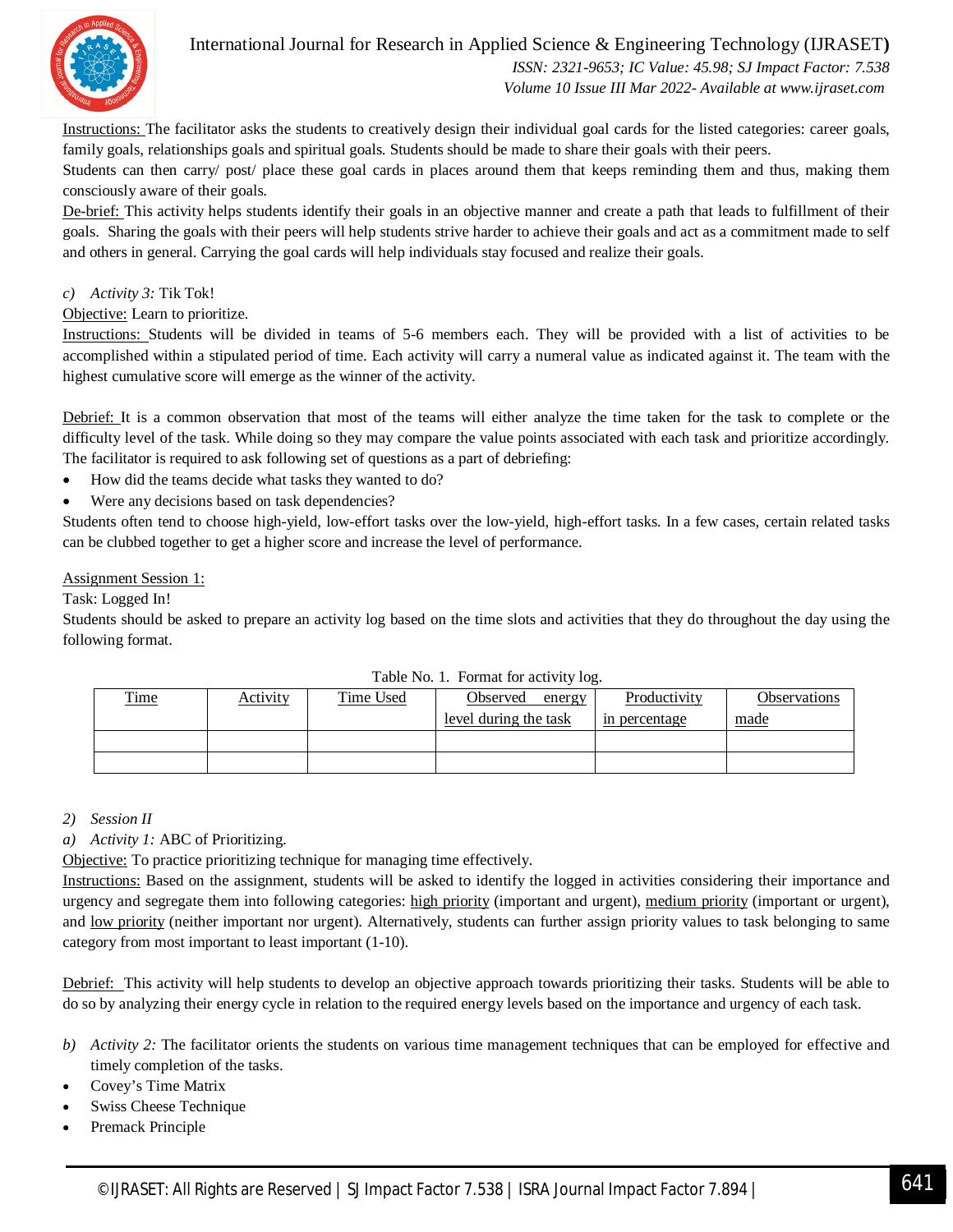

#### International Journal for Research in Applied Science & Engineering Technology (IJRASET**)**  *ISSN: 2321-9653; IC Value: 45.98; SJ Impact Factor: 7.538 Volume 10 Issue III Mar 2022- Available at www.ijraset.com*

Instructions: The facilitator asks the students to creatively design their individual goal cards for the listed categories: career goals, family goals, relationships goals and spiritual goals. Students should be made to share their goals with their peers.

Students can then carry/ post/ place these goal cards in places around them that keeps reminding them and thus, making them consciously aware of their goals.

De-brief: This activity helps students identify their goals in an objective manner and create a path that leads to fulfillment of their goals. Sharing the goals with their peers will help students strive harder to achieve their goals and act as a commitment made to self and others in general. Carrying the goal cards will help individuals stay focused and realize their goals.

#### *c) Activity 3:* Tik Tok!

Objective: Learn to prioritize.

Instructions: Students will be divided in teams of 5-6 members each. They will be provided with a list of activities to be accomplished within a stipulated period of time. Each activity will carry a numeral value as indicated against it. The team with the highest cumulative score will emerge as the winner of the activity.

Debrief: It is a common observation that most of the teams will either analyze the time taken for the task to complete or the difficulty level of the task. While doing so they may compare the value points associated with each task and prioritize accordingly. The facilitator is required to ask following set of questions as a part of debriefing:

- How did the teams decide what tasks they wanted to do?
- Were any decisions based on task dependencies?

Students often tend to choose high-yield, low-effort tasks over the low-yield, high-effort tasks. In a few cases, certain related tasks can be clubbed together to get a higher score and increase the level of performance.

#### Assignment Session 1:

Task: Logged In!

Students should be asked to prepare an activity log based on the time slots and activities that they do throughout the day using the following format.

| <b>Time</b> | Activity | Time Used | Observed<br>energy    | Productivity  | <b>Observations</b> |
|-------------|----------|-----------|-----------------------|---------------|---------------------|
|             |          |           | level during the task | in percentage | <u>made</u>         |
|             |          |           |                       |               |                     |
|             |          |           |                       |               |                     |

Table No. 1. Format for activity log.

#### *2) Session II*

*a) Activity 1:* ABC of Prioritizing.

Objective: To practice prioritizing technique for managing time effectively.

Instructions: Based on the assignment, students will be asked to identify the logged in activities considering their importance and urgency and segregate them into following categories: high priority (important and urgent), medium priority (important or urgent), and <u>low priority</u> (neither important nor urgent). Alternatively, students can further assign priority values to task belonging to same category from most important to least important (1-10).

Debrief: This activity will help students to develop an objective approach towards prioritizing their tasks. Students will be able to do so by analyzing their energy cycle in relation to the required energy levels based on the importance and urgency of each task.

- *b) Activity 2:* The facilitator orients the students on various time management techniques that can be employed for effective and timely completion of the tasks.
- Covey's Time Matrix
- Swiss Cheese Technique
- Premack Principle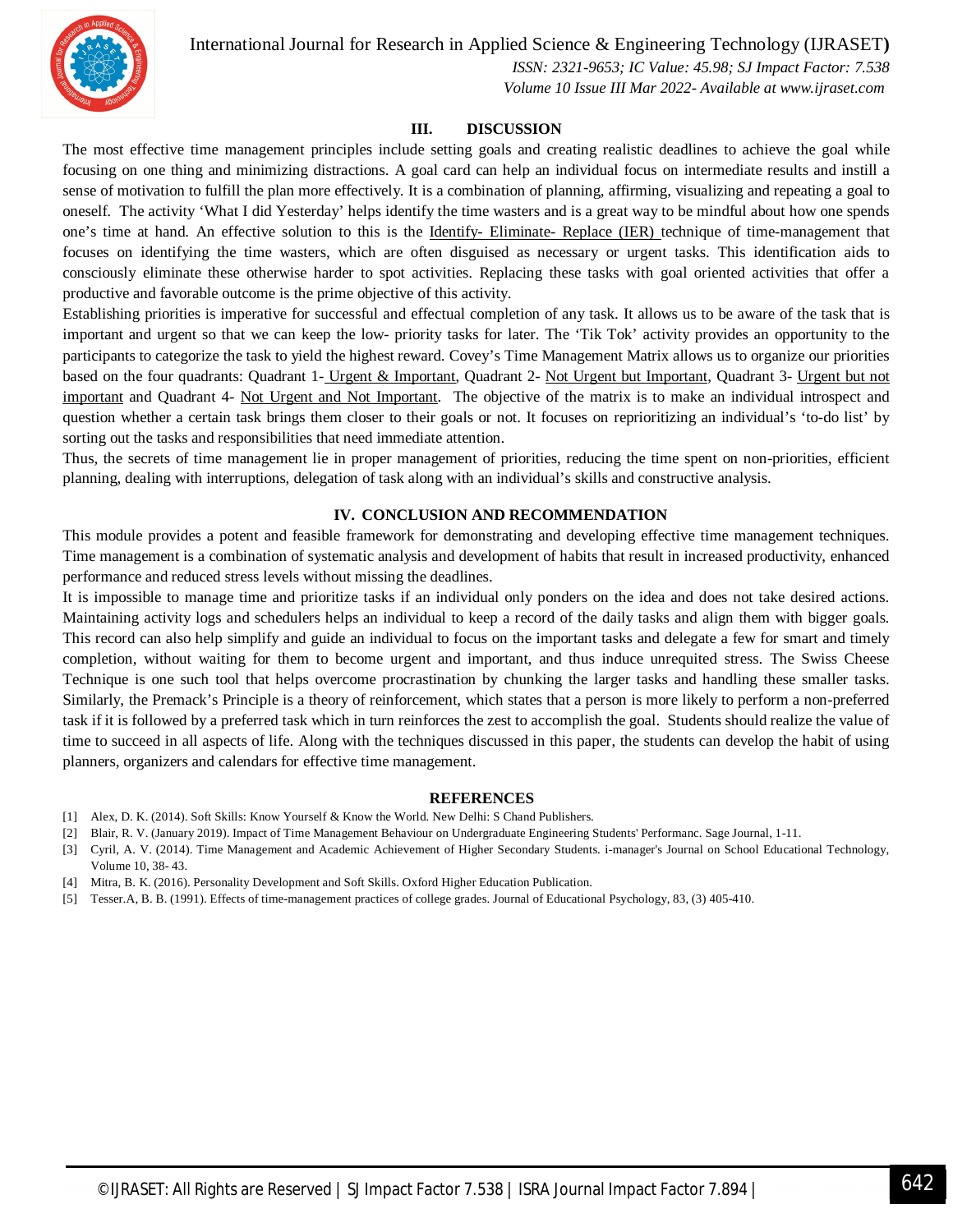International Journal for Research in Applied Science & Engineering Technology (IJRASET**)**



 *ISSN: 2321-9653; IC Value: 45.98; SJ Impact Factor: 7.538 Volume 10 Issue III Mar 2022- Available at www.ijraset.com*

#### **III. DISCUSSION**

The most effective time management principles include setting goals and creating realistic deadlines to achieve the goal while focusing on one thing and minimizing distractions. A goal card can help an individual focus on intermediate results and instill a sense of motivation to fulfill the plan more effectively. It is a combination of planning, affirming, visualizing and repeating a goal to oneself. The activity 'What I did Yesterday' helps identify the time wasters and is a great way to be mindful about how one spends one's time at hand. An effective solution to this is the Identify- Eliminate- Replace (IER) technique of time-management that focuses on identifying the time wasters, which are often disguised as necessary or urgent tasks. This identification aids to consciously eliminate these otherwise harder to spot activities. Replacing these tasks with goal oriented activities that offer a productive and favorable outcome is the prime objective of this activity.

Establishing priorities is imperative for successful and effectual completion of any task. It allows us to be aware of the task that is important and urgent so that we can keep the low- priority tasks for later. The 'Tik Tok' activity provides an opportunity to the participants to categorize the task to yield the highest reward. Covey's Time Management Matrix allows us to organize our priorities based on the four quadrants: Quadrant 1- Urgent & Important, Quadrant 2- Not Urgent but Important, Quadrant 3- Urgent but not important and Quadrant 4- Not Urgent and Not Important. The objective of the matrix is to make an individual introspect and question whether a certain task brings them closer to their goals or not. It focuses on reprioritizing an individual's 'to-do list' by sorting out the tasks and responsibilities that need immediate attention.

Thus, the secrets of time management lie in proper management of priorities, reducing the time spent on non-priorities, efficient planning, dealing with interruptions, delegation of task along with an individual's skills and constructive analysis.

#### **IV. CONCLUSION AND RECOMMENDATION**

This module provides a potent and feasible framework for demonstrating and developing effective time management techniques. Time management is a combination of systematic analysis and development of habits that result in increased productivity, enhanced performance and reduced stress levels without missing the deadlines.

It is impossible to manage time and prioritize tasks if an individual only ponders on the idea and does not take desired actions. Maintaining activity logs and schedulers helps an individual to keep a record of the daily tasks and align them with bigger goals. This record can also help simplify and guide an individual to focus on the important tasks and delegate a few for smart and timely completion, without waiting for them to become urgent and important, and thus induce unrequited stress. The Swiss Cheese Technique is one such tool that helps overcome procrastination by chunking the larger tasks and handling these smaller tasks. Similarly, the Premack's Principle is a theory of reinforcement, which states that a person is more likely to perform a non-preferred task if it is followed by a preferred task which in turn reinforces the zest to accomplish the goal. Students should realize the value of time to succeed in all aspects of life. Along with the techniques discussed in this paper, the students can develop the habit of using planners, organizers and calendars for effective time management.

#### **REFERENCES**

- [1] Alex, D. K. (2014). Soft Skills: Know Yourself & Know the World. New Delhi: S Chand Publishers.
- [2] Blair, R. V. (January 2019). Impact of Time Management Behaviour on Undergraduate Engineering Students' Performanc. Sage Journal, 1-11.
- [3] Cyril, A. V. (2014). Time Management and Academic Achievement of Higher Secondary Students. i-manager's Journal on School Educational Technology, Volume 10, 38- 43.
- [4] Mitra, B. K. (2016). Personality Development and Soft Skills. Oxford Higher Education Publication.
- [5] Tesser.A, B. B. (1991). Effects of time-management practices of college grades. Journal of Educational Psychology, 83, (3) 405-410.